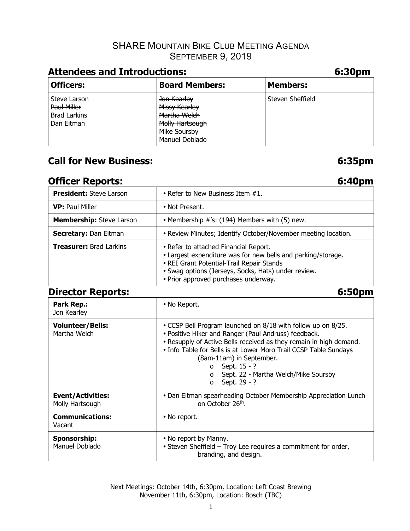## SHARE MOUNTAIN BIKE CLUB MEETING AGENDA **SEPTEMBER 9, 2019**

# **Attendees and Introductions: 6:30pm**

| <b>Officers:</b>                                                 | <b>Board Members:</b>                                                                                    | <b>Members:</b>  |
|------------------------------------------------------------------|----------------------------------------------------------------------------------------------------------|------------------|
| Steve Larson<br>Paul Miller<br><b>Brad Larkins</b><br>Dan Eitman | Jon Kearley<br>Missy Kearley<br>Martha Welch<br>Molly Hartsough<br>Mike Soursby<br><b>Manuel Doblado</b> | Steven Sheffield |

# **Call for New Business: 6:35pm**

# **Officer Reports: 6:40pm**

| <b>President: Steve Larson</b>              | • Refer to New Business Item #1.                                                                                                                                                                                                                                                                                                                                                                     |  |  |  |
|---------------------------------------------|------------------------------------------------------------------------------------------------------------------------------------------------------------------------------------------------------------------------------------------------------------------------------------------------------------------------------------------------------------------------------------------------------|--|--|--|
| <b>VP: Paul Miller</b>                      | • Not Present.                                                                                                                                                                                                                                                                                                                                                                                       |  |  |  |
| Membership: Steve Larson                    | • Membership #'s: (194) Members with (5) new.                                                                                                                                                                                                                                                                                                                                                        |  |  |  |
| Secretary: Dan Eitman                       | • Review Minutes; Identify October/November meeting location.                                                                                                                                                                                                                                                                                                                                        |  |  |  |
| <b>Treasurer: Brad Larkins</b>              | • Refer to attached Financial Report.<br>• Largest expenditure was for new bells and parking/storage.<br>• REI Grant Potential-Trail Repair Stands<br>· Swag options (Jerseys, Socks, Hats) under review.<br>• Prior approved purchases underway.                                                                                                                                                    |  |  |  |
| <b>Director Reports:</b>                    | 6:50pm                                                                                                                                                                                                                                                                                                                                                                                               |  |  |  |
| Park Rep.:<br>Jon Kearley                   | • No Report.                                                                                                                                                                                                                                                                                                                                                                                         |  |  |  |
| <b>Volunteer/Bells:</b><br>Martha Welch     | • CCSP Bell Program launched on 8/18 with follow up on 8/25.<br>· Positive Hiker and Ranger (Paul Andruss) feedback.<br>• Resupply of Active Bells received as they remain in high demand.<br>• Info Table for Bells is at Lower Moro Trail CCSP Table Sundays<br>(8am-11am) in September.<br>Sept. 15 - ?<br>$\circ$<br>Sept. 22 - Martha Welch/Mike Soursby<br>$\Omega$<br>Sept. 29 - ?<br>$\circ$ |  |  |  |
| <b>Event/Activities:</b><br>Molly Hartsough | • Dan Eitman spearheading October Membership Appreciation Lunch<br>on October 26th.                                                                                                                                                                                                                                                                                                                  |  |  |  |
| <b>Communications:</b><br>Vacant            | • No report.                                                                                                                                                                                                                                                                                                                                                                                         |  |  |  |
| <b>Sponsorship:</b><br>Manuel Doblado       | • No report by Manny.<br>• Steven Sheffield - Troy Lee requires a commitment for order,<br>branding, and design.                                                                                                                                                                                                                                                                                     |  |  |  |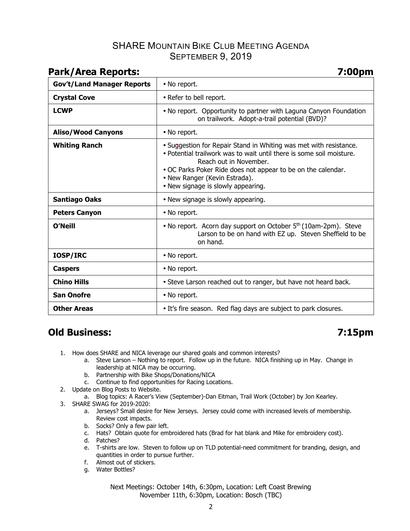## SHARE MOUNTAIN BIKE CLUB MEETING AGENDA SEPTEMBER 9, 2019

| raik/Alta Ktipulls.               | $J.$ UU $\mu$ III                                                                                                                                                                                                                                                                                          |  |  |  |
|-----------------------------------|------------------------------------------------------------------------------------------------------------------------------------------------------------------------------------------------------------------------------------------------------------------------------------------------------------|--|--|--|
| <b>Gov't/Land Manager Reports</b> | • No report.                                                                                                                                                                                                                                                                                               |  |  |  |
| <b>Crystal Cove</b>               | • Refer to bell report.                                                                                                                                                                                                                                                                                    |  |  |  |
| <b>LCWP</b>                       | • No report. Opportunity to partner with Laguna Canyon Foundation<br>on trailwork. Adopt-a-trail potential (BVD)?                                                                                                                                                                                          |  |  |  |
| <b>Aliso/Wood Canyons</b>         | • No report.                                                                                                                                                                                                                                                                                               |  |  |  |
| <b>Whiting Ranch</b>              | • Suggestion for Repair Stand in Whiting was met with resistance.<br>. Potential trailwork was to wait until there is some soil moisture.<br>Reach out in November.<br>. OC Parks Poker Ride does not appear to be on the calendar.<br>• New Ranger (Kevin Estrada).<br>• New signage is slowly appearing. |  |  |  |
| <b>Santiago Oaks</b>              | • New signage is slowly appearing.                                                                                                                                                                                                                                                                         |  |  |  |
| <b>Peters Canyon</b>              | • No report.                                                                                                                                                                                                                                                                                               |  |  |  |
| <b>O'Neill</b>                    | • No report. Acorn day support on October 5 <sup>th</sup> (10am-2pm). Steve<br>Larson to be on hand with EZ up. Steven Sheffield to be<br>on hand.                                                                                                                                                         |  |  |  |
| <b>IOSP/IRC</b>                   | • No report.                                                                                                                                                                                                                                                                                               |  |  |  |
| <b>Caspers</b>                    | • No report.                                                                                                                                                                                                                                                                                               |  |  |  |
| <b>Chino Hills</b>                | • Steve Larson reached out to ranger, but have not heard back.                                                                                                                                                                                                                                             |  |  |  |
| <b>San Onofre</b>                 | • No report.                                                                                                                                                                                                                                                                                               |  |  |  |
| <b>Other Areas</b>                | • It's fire season. Red flag days are subject to park closures.                                                                                                                                                                                                                                            |  |  |  |

### **Park/Area Reports: 7:00pm**

# **Old Business: 7:15pm**

- 1. How does SHARE and NICA leverage our shared goals and common interests?
	- a. Steve Larson Nothing to report. Follow up in the future. NICA finishing up in May. Change in leadership at NICA may be occurring.
	- b. Partnership with Bike Shops/Donations/NICA
	- c. Continue to find opportunities for Racing Locations.
- 2. Update on Blog Posts to Website.
	- a. Blog topics: A Racer's View (September)-Dan Eitman, Trail Work (October) by Jon Kearley.
- 3. SHARE SWAG for 2019-2020:
	- a. Jerseys? Small desire for New Jerseys. Jersey could come with increased levels of membership. Review cost impacts.
	- b. Socks? Only a few pair left.
	- c. Hats? Obtain quote for embroidered hats (Brad for hat blank and Mike for embroidery cost).
	- d. Patches?
	- e. T-shirts are low. Steven to follow up on TLD potential-need commitment for branding, design, and quantities in order to pursue further.
	- f. Almost out of stickers.
	- g. Water Bottles?

Next Meetings: October 14th, 6:30pm, Location: Left Coast Brewing November 11th, 6:30pm, Location: Bosch (TBC)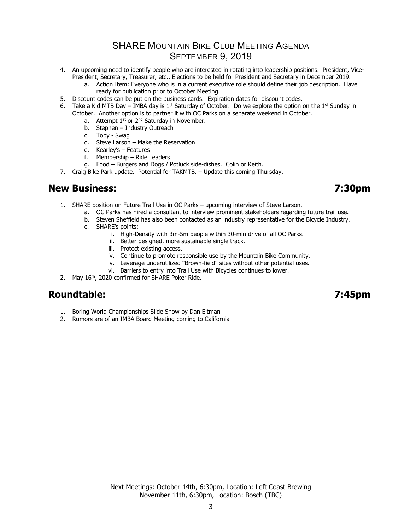## SHARE MOUNTAIN BIKE CLUB MEETING AGENDA **SEPTEMBER 9, 2019**

- 4. An upcoming need to identify people who are interested in rotating into leadership positions. President, Vice-President, Secretary, Treasurer, etc., Elections to be held for President and Secretary in December 2019.
	- a. Action Item: Everyone who is in a current executive role should define their job description. Have ready for publication prior to October Meeting.
- 5. Discount codes can be put on the business cards. Expiration dates for discount codes.
- 6. Take a Kid MTB Day IMBA day is  $1^{st}$  Saturday of October. Do we explore the option on the  $1^{st}$  Sunday in October. Another option is to partner it with OC Parks on a separate weekend in October.
	- a. Attempt  $1<sup>st</sup>$  or  $2<sup>nd</sup>$  Saturday in November.
	- b. Stephen Industry Outreach
	- c. Toby Swag
	- d. Steve Larson Make the Reservation
	- e. Kearley's Features
	- f. Membership Ride Leaders
	- g. Food Burgers and Dogs / Potluck side-dishes. Colin or Keith.
- 7. Craig Bike Park update. Potential for TAKMTB. Update this coming Thursday.

## **New Business: 7:30pm**

- 1. SHARE position on Future Trail Use in OC Parks upcoming interview of Steve Larson.
	- a. OC Parks has hired a consultant to interview prominent stakeholders regarding future trail use.
	- b. Steven Sheffield has also been contacted as an industry representative for the Bicycle Industry.
	- c. SHARE's points:
		- i. High-Density with 3m-5m people within 30-min drive of all OC Parks.
		- ii. Better designed, more sustainable single track.
		- iii. Protect existing access.
		- iv. Continue to promote responsible use by the Mountain Bike Community.
		- v. Leverage underutilized "Brown-field" sites without other potential uses.
		- vi. Barriers to entry into Trail Use with Bicycles continues to lower.
- 2. May 16<sup>th</sup>, 2020 confirmed for SHARE Poker Ride.

## **Roundtable: 7:45pm**

- 1. Boring World Championships Slide Show by Dan Eitman
- 2. Rumors are of an IMBA Board Meeting coming to California